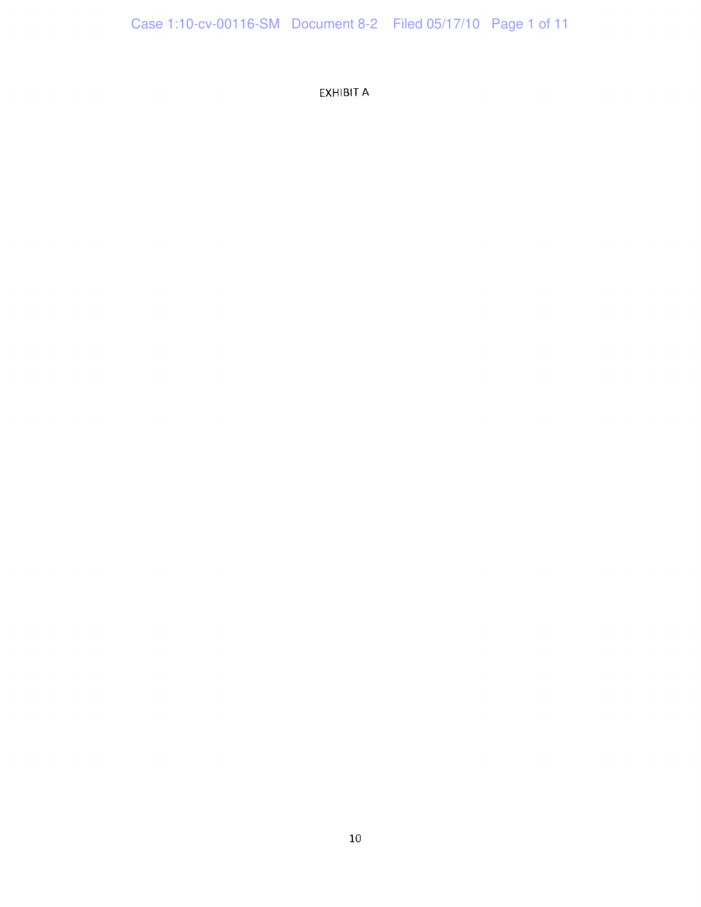EXHIBIT A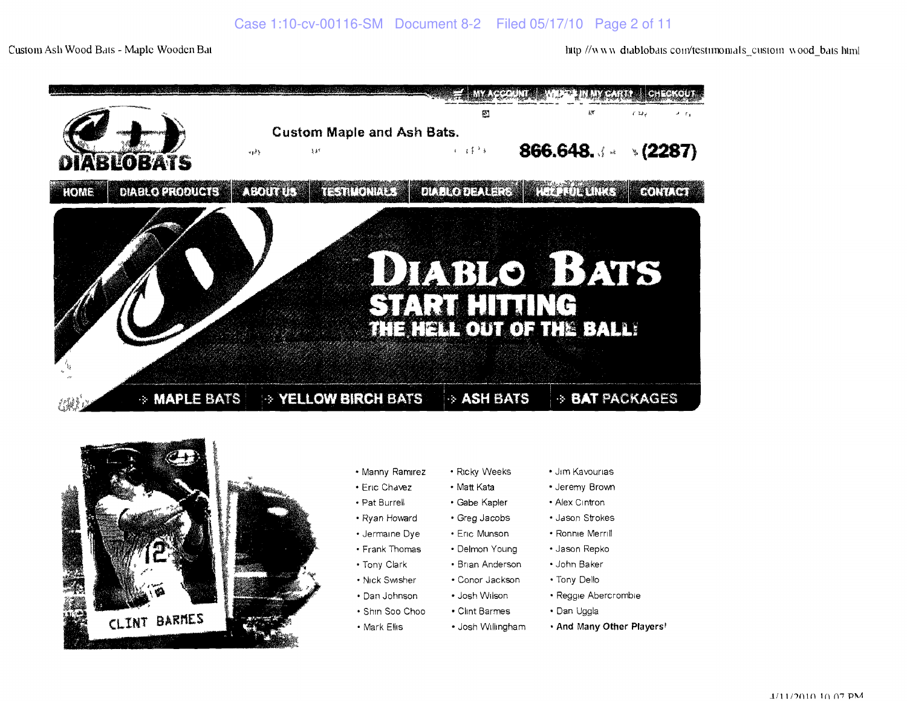Custom Ash Wood Bats - Maple Wooden Bat **here** has him and the *fluid of the Mwandablobais conflession* woodbals html





- 
- 
- 
- 
- 
- 
- 
- -
	-
- 
- 
- 
- 
- 
- 
- 
- 
- 
- 
- 
- Manny Ramirez Ricky Weeks Jim Kavourias
- Eric Chavez Matt Kata Jeremy Brown
- Pat Burrell Gabe Kapler Alex Cintron
- Ryan Howard Greg Jacobs Jason Strokes
- Jermaine Dye Eric Munson Ronnie Merrill
- Frank Thomas Delmon Young Jason Repko
- Tony Clark Brian Anderson John Baker
- Nick Swisher Conor Jackson Tony Dello
- Dan Johnson Josh Wilson Reggie Abercrombie
- Shin Soo Choo Clint Barmes Dan Uggla
- Mark Ellis Josh Willmgham • **And Many Other Players**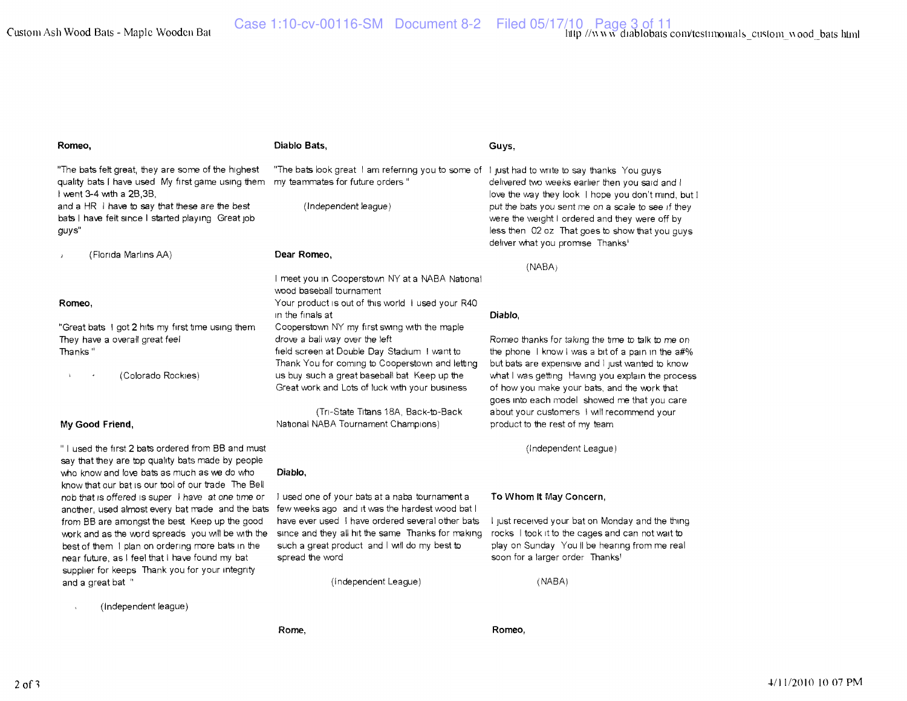**Guys,** 

#### **Romeo,**  "The bats felt great, they are some of the highest quality bats I have used My first game using Ihem my teammates for future orders " I went 3-4 with a 2B,3B, and a HR I have to say that these are the best **Diablo Bats,**  "The bats look great I am referring you to some of I just had to write to say thanks You guys

bats I have felt since I started playing Great job guys"

(Florida Marlins AA)

## **Romeo,**

"Great bats I got 2 hits my first time using them They have a overall great feel Thanks"

> ' (Colorado Rockies)

# **My Good Friend,**

" I used the first 2 bats ordered from BB and mu say that they are top quality bats made by peopl who know and love bats as much as we do who know that our bat is our tool of our trade The Bell nob that is offered is super I have at one time or another, used almost every bat made and the bats from BB are amongst the best Keep up the good wark and as the ward spreads you will be with the best of them I plan on ordering more bats in the near future, as I feel that I have found my bat supplier for keeps Thank you for your integrity and a great bat "

|           |                                                                             | (NABA)                                                                                       |
|-----------|-----------------------------------------------------------------------------|----------------------------------------------------------------------------------------------|
|           | I meet you in Cooperstown NY at a NABA National<br>wood baseball tournament |                                                                                              |
|           | Your product is out of this world I used your R40<br>in the finals at       | Diablo.                                                                                      |
|           | Cooperstown NY my first swing with the maple                                |                                                                                              |
|           | drove a ball way over the left                                              | Romeo thanks for taking the time to talk to me on                                            |
|           | field screen at Double Day Stadium I want to                                | the phone I know I was a bit of a pain in the $a\#$ %                                        |
|           | Thank You for coming to Cooperstown and letting                             | but bats are expensive and I just wanted to know                                             |
|           | us buy such a great baseball bat Keep up the                                | what I was getting Having you explain the process                                            |
|           | Great work and Lots of luck with your business                              | of how you make your bats, and the work that<br>goes into each model showed me that you care |
|           | (Tri-State Titans 18A, Back-to-Back)                                        | about your customers   will recommend your                                                   |
|           | National NABA Tournament Champions)                                         | product to the rest of my team                                                               |
| ust<br>le |                                                                             | (Independent League)                                                                         |
|           | Diablo.                                                                     |                                                                                              |
| ្តា       |                                                                             |                                                                                              |

(Independent league)

**Dear Romeo,** 

I used one of your bats at a naba tournament a few weeks ago and it was the hardest wood bat I have ever used I have ordered several other bats since and they all hit the same Thanks for making such a great product and I will do my best to spread the word

(Independent League)

### **To Whom It May Concern,**

I just received your bat on Monday and the thing rocks I took it to the cages and can not wait to play on Sunday You II be hearing from me real soon for a larger order Thanks'

delivered two weeks earlier then you said and I love the way they look I hope you don't mind, but I put the bats you sent me on a scale to see if they were the weight I ordered and they were off by less then 02 oz That goes to show that you guys

deliver what you promise Thanks'

(NABA)

(Independent league)

**Rome,** 

**Romeo,**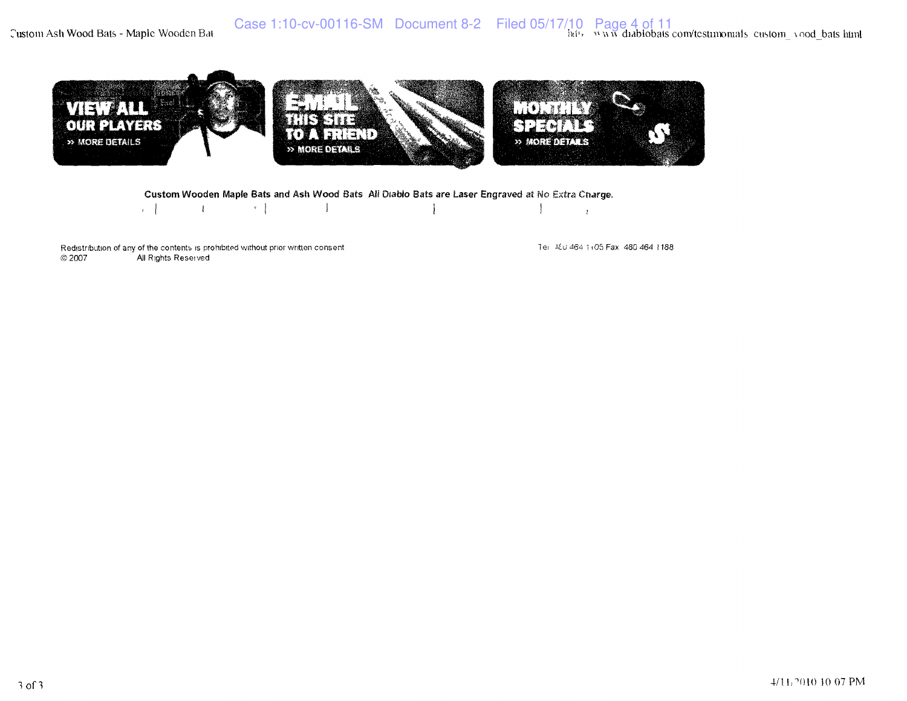Custom Ash Wood Bats - Maple Wooden Bat



## Custom Wooden Maple Bats and Ash Wood Bats All Diablo Bats are Laser Engraved at No Extra Charge.

 $\left\vert \mathbf{v}\right\vert$  .  $\vert$   $\vert$  $\mathcal{A}$ ļ  $\mathbf{I}$ 

Redistribution of any of the contents is prohibited without prior written consent  $\otimes$  2007 All Rights Reserved

Tel: 460 464 1+05 Fax: 480 464 1188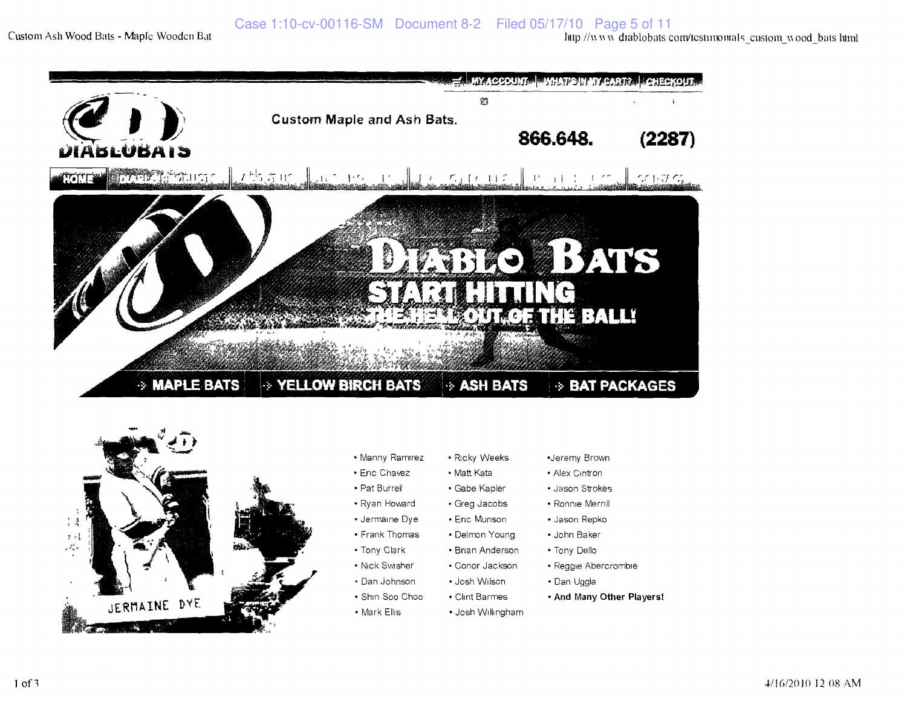



- Manny Ramirez
- Eric Chavez
- Pat Burrell
- 1 Ryan Howard
- Jermaine Dye
- Frank Thomas
- Tony Clark
- Nick Swsher
- Dan Johnson • Josh Wilson
- Shin Soo Choo • Clint Barmes
- Mark Ellis > Josh Willmgham
- •Jeremy Brown
	- Alex Cintron
- Jason Strokes
	- Ronnie Merrill
	- Jason Repko
- Reggie Abercrombie
- Dan Uggla
- • **And Many Other Players!**

# Gabe Kapler Greg Jacobs

Ricky Weeks Matt Kata

 Eric Munson Delmon Young Brian Anderson Conor Jackson

- 
- John Baker
- Tony Dello
-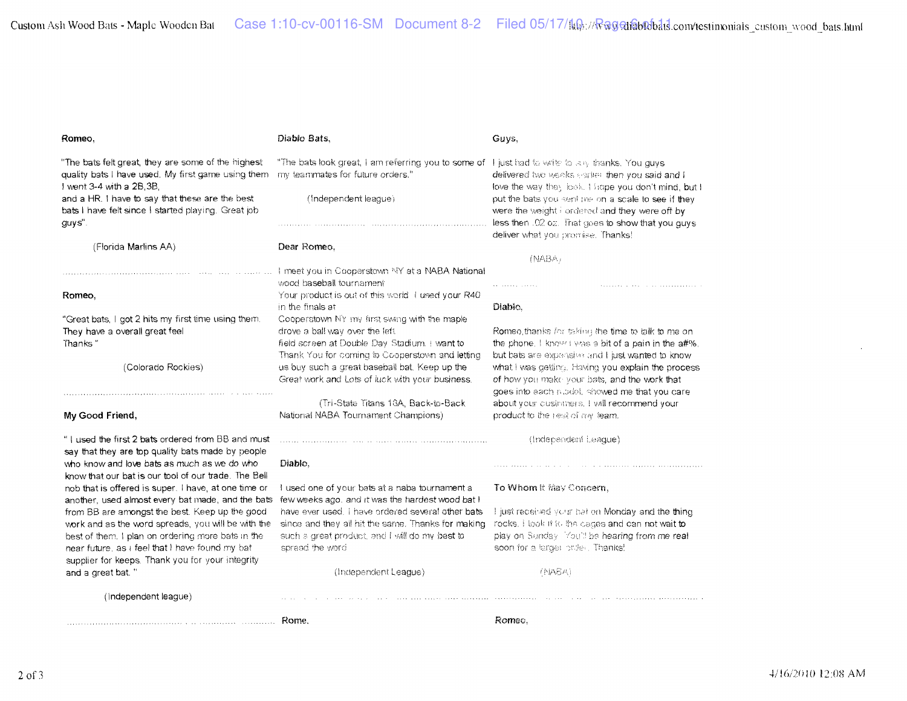Custom Ash Wood Bats - Maple Wooden Bat Case 1:10-cv-00116-SM Document 8-2 Filed 05/17/ftஇ://<del>Rฉ</del>gai®b&bail.com/testinxmiais\_custom\_wood\_bats.html

| Romeo,                                                                                                    | Diablo Bats,                                                                                       | Guys,                                                                                                  |
|-----------------------------------------------------------------------------------------------------------|----------------------------------------------------------------------------------------------------|--------------------------------------------------------------------------------------------------------|
| "The bats felt great, they are some of the highest                                                        | "The bats look great, I am referring you to some of I just had to write to eny thanks. You guys    |                                                                                                        |
| quality bats I have used. My first game using them                                                        | my teammates for future orders."                                                                   | delivered two weeks earlier then you said and I                                                        |
| I went 3-4 with a 2B.3B.                                                                                  |                                                                                                    | love the way they look. I hope you don't mind, but I                                                   |
| and a HR. I have to say that these are the best<br>bats I have felt since I started playing. Great job    | (Independent league)                                                                               | put the bats you sent me on a scale to see if they                                                     |
| guys".                                                                                                    |                                                                                                    | were the weight i ordered and they were off by<br>less then .02 oz. That goes to show that you guys    |
|                                                                                                           |                                                                                                    | deliver what you promise. Thanks!                                                                      |
| (Florida Marlins AA)                                                                                      | Dear Romeo,                                                                                        |                                                                                                        |
|                                                                                                           |                                                                                                    | (NABA)                                                                                                 |
|                                                                                                           | I meet you in Cooperstown NY at a NABA National                                                    |                                                                                                        |
|                                                                                                           | wood baseball tournament                                                                           | .                                                                                                      |
| Romeo,                                                                                                    | Your product is out of this world. I used your R40                                                 |                                                                                                        |
|                                                                                                           | in the finals at                                                                                   | Diablo,                                                                                                |
| "Great bats, I got 2 hits my first time using them.                                                       | Cooperstown NY my first swing with the maple                                                       |                                                                                                        |
| They have a overall great feel                                                                            | drove a ball way over the left.                                                                    | Romeo, thanks for taking the time to talk to me on                                                     |
| Thanks"                                                                                                   | field screen at Double Day Stadium. I want to                                                      | the phone. I know I was a bit of a pain in the a#%.                                                    |
| (Colorado Rockies)                                                                                        | Thank You for coming to Cooperstown and letting<br>us buy such a great baseball bat. Keep up the   | but bats are expensive and I just wanted to know<br>what I was getting. Having you explain the process |
|                                                                                                           | Great work and Lots of luck with your business.                                                    | of how you make your bats, and the work that                                                           |
|                                                                                                           |                                                                                                    | goes into each nibdel, showed me that you care                                                         |
|                                                                                                           | (Tri-State Titans 18A, Back-to-Back)                                                               | about your customers. I will recommend your                                                            |
| My Good Friend,                                                                                           | National NABA Tournament Champions)                                                                | product to the rest of my team.                                                                        |
| "I used the first 2 bats ordered from BB and must                                                         |                                                                                                    | (Independent League)                                                                                   |
| say that they are top quality bats made by people                                                         |                                                                                                    |                                                                                                        |
| who know and love bats as much as we do who                                                               | Diablo.                                                                                            |                                                                                                        |
| know that our bat is our tool of our trade. The Bell                                                      |                                                                                                    |                                                                                                        |
| nob that is offered is super. I have, at one time or<br>another, used almost every bat made, and the bats | I used one of your bats at a naba tournament a<br>few weeks ago, and it was the hardest wood bat I | To Whom it May Concern,                                                                                |
| from BB are amongst the best. Keep up the good                                                            | have ever used, i have ordered several other bats                                                  | I just received your bat on Monday and the thing                                                       |
| work and as the word spreads, you will be with the                                                        | since and they all hit the same. Thanks for making                                                 | rocks. I look if it, the cages and can not wait to                                                     |
| best of them. I plan on ordering more bats in the                                                         | such a great product, and I will do my best to                                                     | play on Sunday You'll be hearing from me real                                                          |
| near future, as I feel that I have found my bat                                                           | spread the word                                                                                    | soon for a larger order. Thanks!                                                                       |
| supplier for keeps. Thank you for your integrity                                                          |                                                                                                    |                                                                                                        |
| and a great bat."                                                                                         | (Independent League)                                                                               | (NASA)                                                                                                 |
| (Independent league)                                                                                      |                                                                                                    |                                                                                                        |
|                                                                                                           |                                                                                                    | Romeo.                                                                                                 |
|                                                                                                           |                                                                                                    |                                                                                                        |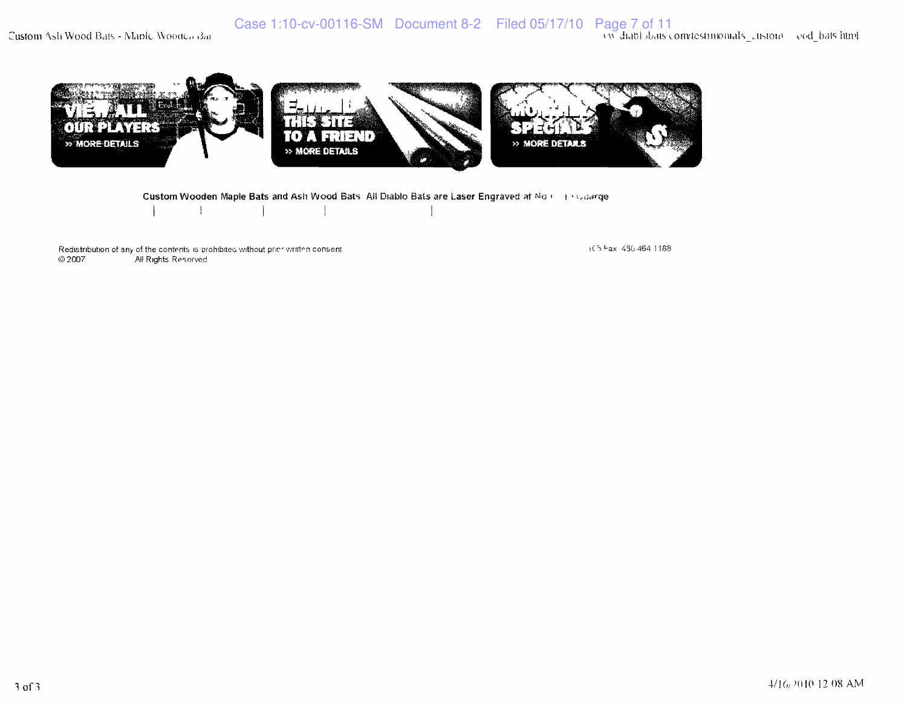Custom Ash Wood Bats - Maple Wooden Bat



Custom Wooden Maple Bats and Ash Wood Bats All Diablo Bats are Laser Engraved at No.1 31 Calarge Ì

Redistribution of any of the contents is prohibited without prior written consent.  $@2007$ All Rights Reserved

(15 Fax 430 464 1168)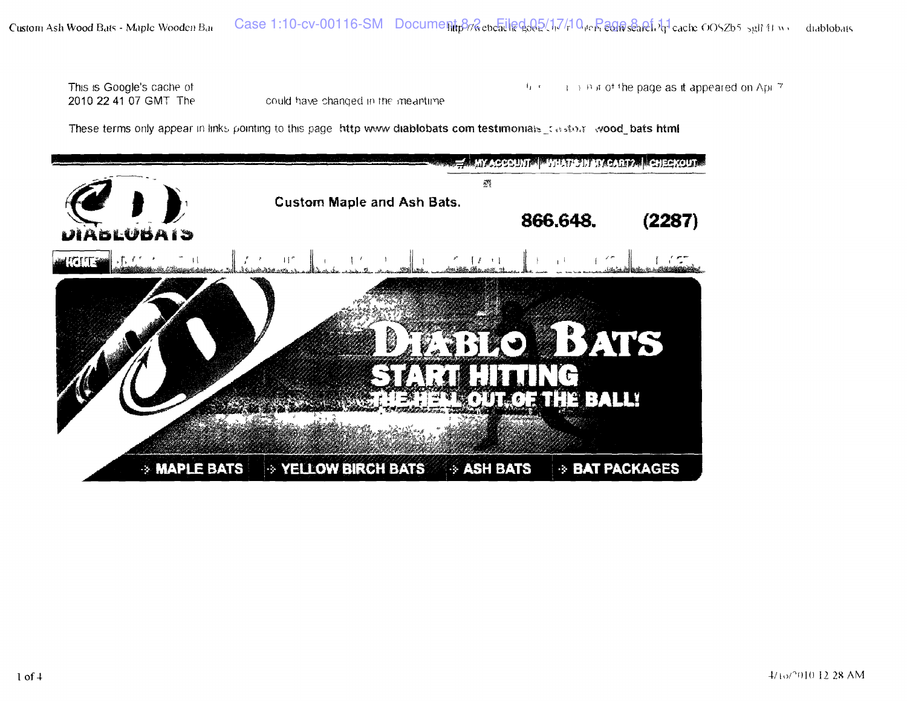This is Google's cache of 2010 22 41 07 GMT The

could have changed in the meantime

 $\mapsto$  B a of the page as it appeared on Apr 7  $\mathfrak{t}_1$  .

These terms only appear in links pointing to this page http www diablobats com testimonials stasted wood bats html

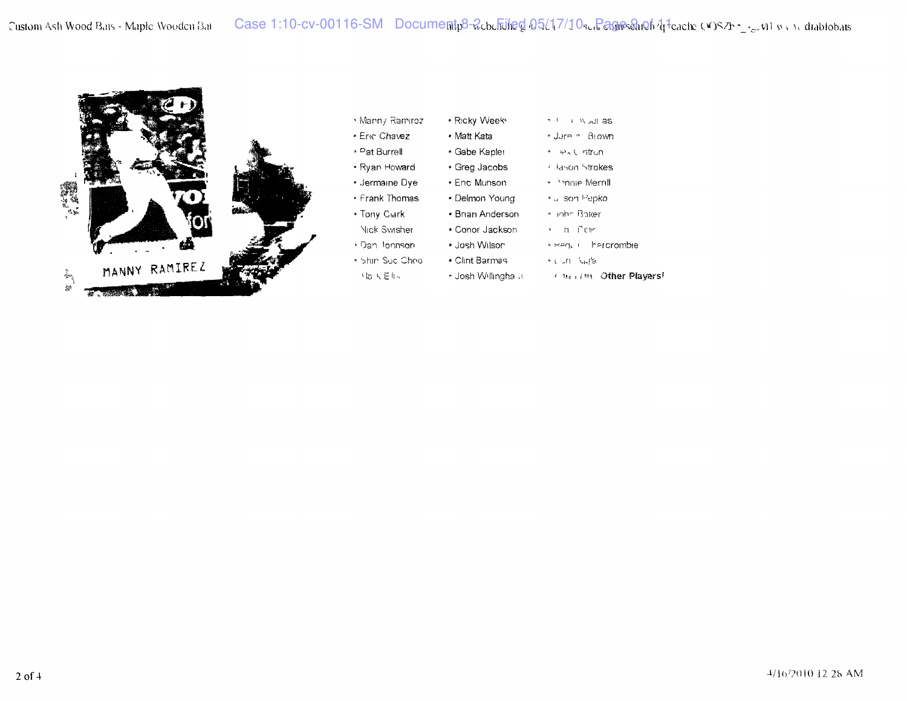

|  | • Manny Ramirez | • Ricky Weeks |  |
|--|-----------------|---------------|--|
|--|-----------------|---------------|--|

• Matt Kata

• Eric Munson »

- Eric Chavez
- » <sup>p</sup> at Burrell
- Ryan Howard
- Jermame Dye
- Frank Thomas
- Tony Cidrk
- Nick Swisher
- > Dan lonnson
- bhir Sue Choo
- $M_{B}$   $K \to 0.4$
- $\gamma^{-+} \longrightarrow N$  out as \* Jorn n Blown
- Gabe Kapler " IPAL ntrun
- Greg Jacobs I Hason Strokes
	- <sup>1</sup>->nnie Merrill
- Delmon Young and son Pepko
- Brian Anderson Inhe Baker
- Conor Jackson n Pcir
- Josh Wilson K KANL II hercrombie
- Clint Barmes in Multa
- Josh Willingha a « in i J'ti Other Players'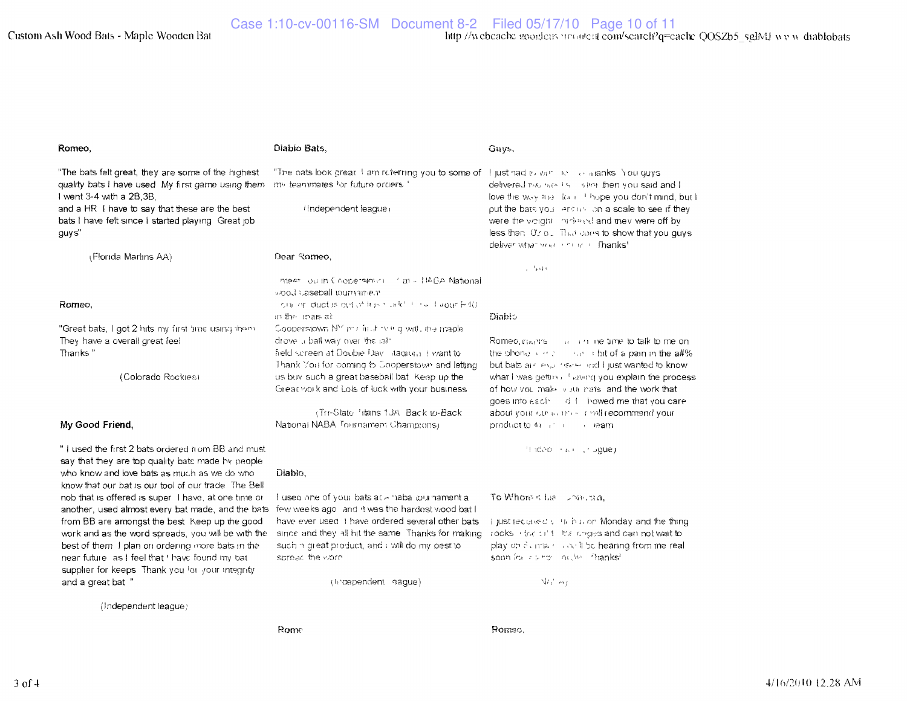| Romeo,                                                                                                                                                                                                       | Diabio Bats,                                                                                                                                                                         | Guys.                                                                                                                                                                                              |
|--------------------------------------------------------------------------------------------------------------------------------------------------------------------------------------------------------------|--------------------------------------------------------------------------------------------------------------------------------------------------------------------------------------|----------------------------------------------------------------------------------------------------------------------------------------------------------------------------------------------------|
| "The bats felt great, they are some of the highest<br>quality bats I have used. My first game using them<br>I went 3-4 with a 2B, 3B,                                                                        | "The bats look great I am referring you to some of I just had to $v_0$ in the conditional shoulding<br>my teammates for future orders."                                              | delivered map make the lingthen you said and I<br>love the way may look it hope you don't mind, but I                                                                                              |
| and a HR I have to say that these are the best<br>bats I have felt since I started playing. Great job<br>guys"                                                                                               | (Independent league)                                                                                                                                                                 | put the bats you lent us can a scale to see if they<br>were the worght in nine of and they were off by<br>less then Otrou. That does to show that you guys<br>deliver what models not an infhanks! |
| (Florida Marlins AA)                                                                                                                                                                                         | Dear Romeo,                                                                                                                                                                          |                                                                                                                                                                                                    |
|                                                                                                                                                                                                              | meer ou in Coopersmicht and till CA National<br>violi saseball tournament                                                                                                            | $e^{-\frac{1}{2}}e^{\frac{1}{2}+\frac{1}{2}S}$                                                                                                                                                     |
| Romeo.                                                                                                                                                                                                       | on or duct is out of fris hands the liveour (+4).<br>in the linais at                                                                                                                | Diablo                                                                                                                                                                                             |
| "Great bats, I got 2 hits my first time using them.<br>They have a overall great feel<br>Thanks"                                                                                                             | Cooperstown NY mir first thing with the maple<br>drove a ball way over the left<br>field screen at Double Day I Aagrun Elivantito<br>Thank You for coming to Cooperstown and letting | Romeo, diablished and the time to talk to me on<br>the phone $\cdots$ and $\cdots$ is the of a pain in the a#%<br>but bats are explored on the lipst wanted to know.                               |
| (Colorado Rockies)                                                                                                                                                                                           | us buy such a great baseball bat. Keep up the<br>Great work and Lots of luck with your business                                                                                      | what I was getting 1 laving you explain the process<br>of how you make woth nats, and the work that<br>goes into each of followed me that you care                                                 |
| My Good Friend,                                                                                                                                                                                              | (Tri-State Hans 13A, Back to-Back<br>National NABA Tournament Champions)                                                                                                             | about your currently in the recommend your<br>product to the internal seam                                                                                                                         |
| "I used the first 2 bats ordered nom BB and must<br>say that they are top quality bats made by people<br>who know and love bats as much as we do who<br>know that our bat is our tool of our trade. The Bell | Diablo.                                                                                                                                                                              | frided (see crogue)                                                                                                                                                                                |
| nob that is offered is super I have, at one time or<br>another, used almost every bat made, and the bats                                                                                                     | I used one of your bats at a habal purnament a<br>few weeks ago and it was the hardest wood bat I                                                                                    | To Whom it has somewhat.                                                                                                                                                                           |
| from BB are amongst the best Keep up the good                                                                                                                                                                | have ever used I have ordered several other bats                                                                                                                                     | i just received with his on Monday and the thing                                                                                                                                                   |
| work and as the word spreads, you will be with the                                                                                                                                                           | since and they all hit the same. Thanks for making<br>such a great product, and I will do my best to                                                                                 | rocks into citing the origes and can not wait to<br>play on Sunris condition hearing from me real                                                                                                  |
| best of them I plan on ordering more bats in the<br>near future as I feel that ' have found my bat                                                                                                           | spread the viord                                                                                                                                                                     | soon for electric locater. Thanks'                                                                                                                                                                 |
| supplier for keeps. Thank you for your integrity<br>and a great bat "                                                                                                                                        | (traependent sague)                                                                                                                                                                  | $W_1$ $\sim$                                                                                                                                                                                       |
| (Independent league)                                                                                                                                                                                         |                                                                                                                                                                                      |                                                                                                                                                                                                    |

Rome

Romeo.